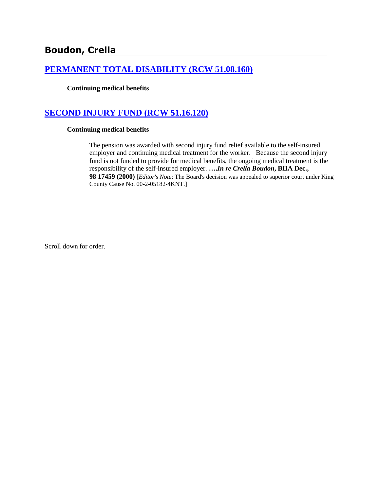# **Boudon, Crella**

## **[PERMANENT TOTAL DISABILITY \(RCW 51.08.160\)](http://www.biia.wa.gov/SDSubjectIndex.html#PERMANENT_TOTAL_DISABILITY)**

#### **Continuing medical benefits**

# **[SECOND INJURY FUND \(RCW 51.16.120\)](http://www.biia.wa.gov/SDSubjectIndex.html#SECOND_INJURY_FUND)**

#### **Continuing medical benefits**

The pension was awarded with second injury fund relief available to the self-insured employer and continuing medical treatment for the worker. Because the second injury fund is not funded to provide for medical benefits, the ongoing medical treatment is the responsibility of the self-insured employer. **….***In re Crella Boudon***, BIIA Dec., 98 17459 (2000)** [*Editor's Note*: The Board's decision was appealed to superior court under King County Cause No. 00-2-05182-4KNT.]

Scroll down for order.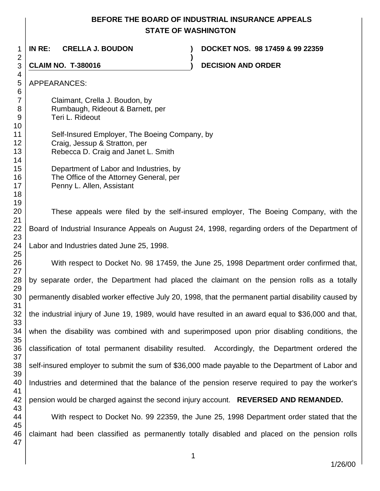## **BEFORE THE BOARD OF INDUSTRIAL INSURANCE APPEALS STATE OF WASHINGTON**

**)**

**IN RE: CRELLA J. BOUDON ) DOCKET NOS. 98 17459 & 99 22359**

**CLAIM NO. T-380016 ) DECISION AND ORDER** 

APPEARANCES:

Claimant, Crella J. Boudon, by Rumbaugh, Rideout & Barnett, per Teri L. Rideout

 Self-Insured Employer, The Boeing Company, by Craig, Jessup & Stratton, per Rebecca D. Craig and Janet L. Smith

> Department of Labor and Industries, by The Office of the Attorney General, per Penny L. Allen, Assistant

 These appeals were filed by the self-insured employer, The Boeing Company, with the Board of Industrial Insurance Appeals on August 24, 1998, regarding orders of the Department of Labor and Industries dated June 25, 1998.

 With respect to Docket No. 98 17459, the June 25, 1998 Department order confirmed that, by separate order, the Department had placed the claimant on the pension rolls as a totally permanently disabled worker effective July 20, 1998, that the permanent partial disability caused by the industrial injury of June 19, 1989, would have resulted in an award equal to \$36,000 and that, when the disability was combined with and superimposed upon prior disabling conditions, the classification of total permanent disability resulted. Accordingly, the Department ordered the self-insured employer to submit the sum of \$36,000 made payable to the Department of Labor and Industries and determined that the balance of the pension reserve required to pay the worker's pension would be charged against the second injury account. **REVERSED AND REMANDED.**

 With respect to Docket No. 99 22359, the June 25, 1998 Department order stated that the claimant had been classified as permanently totally disabled and placed on the pension rolls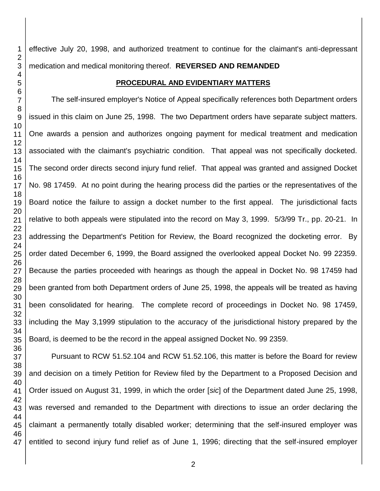effective July 20, 1998, and authorized treatment to continue for the claimant's anti-depressant medication and medical monitoring thereof. **REVERSED AND REMANDED**

### **PROCEDURAL AND EVIDENTIARY MATTERS**

The self-insured employer's Notice of Appeal specifically references both Department orders issued in this claim on June 25, 1998. The two Department orders have separate subject matters. One awards a pension and authorizes ongoing payment for medical treatment and medication associated with the claimant's psychiatric condition. That appeal was not specifically docketed. The second order directs second injury fund relief. That appeal was granted and assigned Docket No. 98 17459. At no point during the hearing process did the parties or the representatives of the Board notice the failure to assign a docket number to the first appeal. The jurisdictional facts relative to both appeals were stipulated into the record on May 3, 1999. 5/3/99 Tr., pp. 20-21. In addressing the Department's Petition for Review, the Board recognized the docketing error. By order dated December 6, 1999, the Board assigned the overlooked appeal Docket No. 99 22359. Because the parties proceeded with hearings as though the appeal in Docket No. 98 17459 had been granted from both Department orders of June 25, 1998, the appeals will be treated as having been consolidated for hearing. The complete record of proceedings in Docket No. 98 17459, including the May 3,1999 stipulation to the accuracy of the jurisdictional history prepared by the Board, is deemed to be the record in the appeal assigned Docket No. 99 2359.

Pursuant to RCW 51.52.104 and RCW 51.52.106, this matter is before the Board for review and decision on a timely Petition for Review filed by the Department to a Proposed Decision and Order issued on August 31, 1999, in which the order [*sic*] of the Department dated June 25, 1998, was reversed and remanded to the Department with directions to issue an order declaring the claimant a permanently totally disabled worker; determining that the self-insured employer was entitled to second injury fund relief as of June 1, 1996; directing that the self-insured employer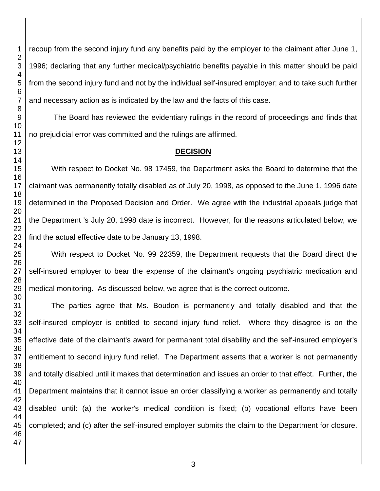recoup from the second injury fund any benefits paid by the employer to the claimant after June 1, 1996; declaring that any further medical/psychiatric benefits payable in this matter should be paid from the second injury fund and not by the individual self-insured employer; and to take such further and necessary action as is indicated by the law and the facts of this case.

The Board has reviewed the evidentiary rulings in the record of proceedings and finds that no prejudicial error was committed and the rulings are affirmed.

## **DECISION**

With respect to Docket No. 98 17459, the Department asks the Board to determine that the claimant was permanently totally disabled as of July 20, 1998, as opposed to the June 1, 1996 date determined in the Proposed Decision and Order. We agree with the industrial appeals judge that the Department 's July 20, 1998 date is incorrect. However, for the reasons articulated below, we find the actual effective date to be January 13, 1998.

With respect to Docket No. 99 22359, the Department requests that the Board direct the self-insured employer to bear the expense of the claimant's ongoing psychiatric medication and medical monitoring. As discussed below, we agree that is the correct outcome.

The parties agree that Ms. Boudon is permanently and totally disabled and that the self-insured employer is entitled to second injury fund relief. Where they disagree is on the effective date of the claimant's award for permanent total disability and the self-insured employer's entitlement to second injury fund relief. The Department asserts that a worker is not permanently and totally disabled until it makes that determination and issues an order to that effect. Further, the Department maintains that it cannot issue an order classifying a worker as permanently and totally disabled until: (a) the worker's medical condition is fixed; (b) vocational efforts have been completed; and (c) after the self-insured employer submits the claim to the Department for closure.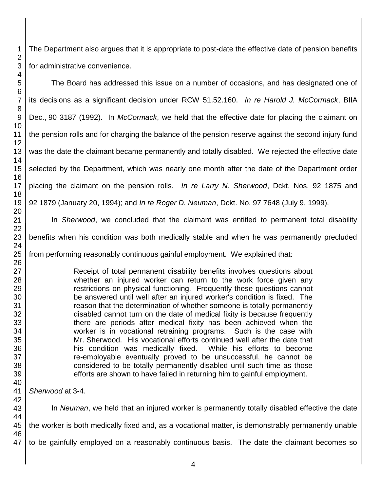The Department also argues that it is appropriate to post-date the effective date of pension benefits for administrative convenience.

The Board has addressed this issue on a number of occasions, and has designated one of its decisions as a significant decision under RCW 51.52.160. *In re Harold J. McCormack*, BIIA Dec., 90 3187 (1992). In *McCormack*, we held that the effective date for placing the claimant on the pension rolls and for charging the balance of the pension reserve against the second injury fund was the date the claimant became permanently and totally disabled. We rejected the effective date selected by the Department, which was nearly one month after the date of the Department order placing the claimant on the pension rolls. *In re Larry N. Sherwood*, Dckt. Nos. 92 1875 and 1879 (January 20, 1994); and *In re Roger D. Neuman*, Dckt. No. 97 7648 (July 9, 1999).

In *Sherwood*, we concluded that the claimant was entitled to permanent total disability benefits when his condition was both medically stable and when he was permanently precluded from performing reasonably continuous gainful employment. We explained that:

Receipt of total permanent disability benefits involves questions about whether an injured worker can return to the work force given any restrictions on physical functioning. Frequently these questions cannot be answered until well after an injured worker's condition is fixed. The reason that the determination of whether someone is totally permanently disabled cannot turn on the date of medical fixity is because frequently there are periods after medical fixity has been achieved when the worker is in vocational retraining programs. Such is the case with Mr. Sherwood. His vocational efforts continued well after the date that his condition was medically fixed. While his efforts to become re-employable eventually proved to be unsuccessful, he cannot be considered to be totally permanently disabled until such time as those efforts are shown to have failed in returning him to gainful employment.

*Sherwood* at 3-4.

In *Neuman*, we held that an injured worker is permanently totally disabled effective the date the worker is both medically fixed and, as a vocational matter, is demonstrably permanently unable to be gainfully employed on a reasonably continuous basis. The date the claimant becomes so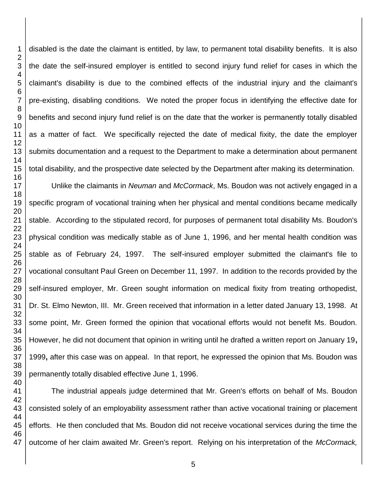disabled is the date the claimant is entitled, by law, to permanent total disability benefits. It is also the date the self-insured employer is entitled to second injury fund relief for cases in which the claimant's disability is due to the combined effects of the industrial injury and the claimant's pre-existing, disabling conditions. We noted the proper focus in identifying the effective date for benefits and second injury fund relief is on the date that the worker is permanently totally disabled as a matter of fact. We specifically rejected the date of medical fixity, the date the employer submits documentation and a request to the Department to make a determination about permanent total disability, and the prospective date selected by the Department after making its determination.

Unlike the claimants in *Neuman* and *McCormack*, Ms. Boudon was not actively engaged in a specific program of vocational training when her physical and mental conditions became medically stable. According to the stipulated record, for purposes of permanent total disability Ms. Boudon's physical condition was medically stable as of June 1, 1996, and her mental health condition was stable as of February 24, 1997. The self-insured employer submitted the claimant's file to vocational consultant Paul Green on December 11, 1997. In addition to the records provided by the self-insured employer, Mr. Green sought information on medical fixity from treating orthopedist, Dr. St. Elmo Newton, III. Mr. Green received that information in a letter dated January 13, 1998. At some point, Mr. Green formed the opinion that vocational efforts would not benefit Ms. Boudon. However, he did not document that opinion in writing until he drafted a written report on January 19**, ,** after this case was on appeal. In that report, he expressed the opinion that Ms. Boudon was permanently totally disabled effective June 1, 1996.

The industrial appeals judge determined that Mr. Green's efforts on behalf of Ms. Boudon consisted solely of an employability assessment rather than active vocational training or placement efforts. He then concluded that Ms. Boudon did not receive vocational services during the time the outcome of her claim awaited Mr. Green's report. Relying on his interpretation of the *McCormack,*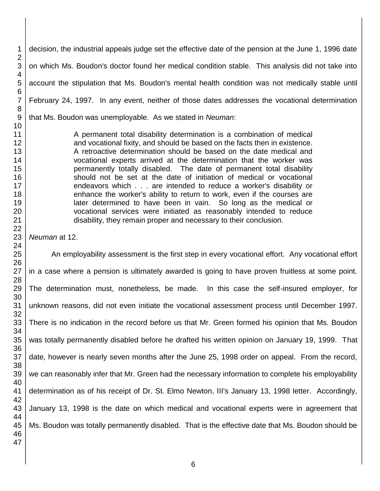decision, the industrial appeals judge set the effective date of the pension at the June 1, 1996 date on which Ms. Boudon's doctor found her medical condition stable. This analysis did not take into account the stipulation that Ms. Boudon's mental health condition was not medically stable until February 24, 1997. In any event, neither of those dates addresses the vocational determination that Ms. Boudon was unemployable. As we stated in *Neuman*:

> A permanent total disability determination is a combination of medical and vocational fixity, and should be based on the facts then in existence. A retroactive determination should be based on the date medical and vocational experts arrived at the determination that the worker was permanently totally disabled. The date of permanent total disability should not be set at the date of initiation of medical or vocational endeavors which . . . are intended to reduce a worker's disability or enhance the worker's ability to return to work, even if the courses are later determined to have been in vain. So long as the medical or vocational services were initiated as reasonably intended to reduce disability, they remain proper and necessary to their conclusion.

*Neuman* at 12.

An employability assessment is the first step in every vocational effort. Any vocational effort in a case where a pension is ultimately awarded is going to have proven fruitless at some point. The determination must, nonetheless, be made. In this case the self-insured employer, for unknown reasons, did not even initiate the vocational assessment process until December 1997. There is no indication in the record before us that Mr. Green formed his opinion that Ms. Boudon was totally permanently disabled before he drafted his written opinion on January 19, 1999. That date, however is nearly seven months after the June 25, 1998 order on appeal. From the record, we can reasonably infer that Mr. Green had the necessary information to complete his employability determination as of his receipt of Dr. St. Elmo Newton, III's January 13, 1998 letter. Accordingly, January 13, 1998 is the date on which medical and vocational experts were in agreement that Ms. Boudon was totally permanently disabled. That is the effective date that Ms. Boudon should be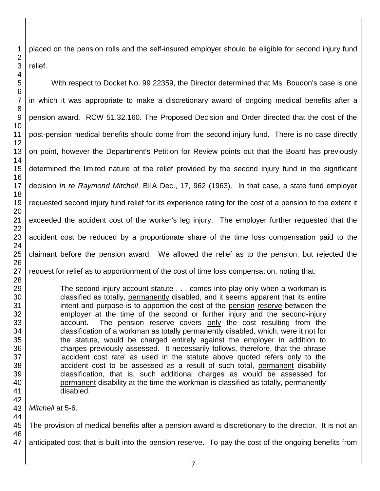placed on the pension rolls and the self-insured employer should be eligible for second injury fund

With respect to Docket No. 99 22359, the Director determined that Ms. Boudon's case is one in which it was appropriate to make a discretionary award of ongoing medical benefits after a pension award. RCW 51.32.160. The Proposed Decision and Order directed that the cost of the post-pension medical benefits should come from the second injury fund. There is no case directly on point, however the Department's Petition for Review points out that the Board has previously determined the limited nature of the relief provided by the second injury fund in the significant decision *In re Raymond Mitchell*, BIIA Dec., 17, 962 (1963). In that case, a state fund employer requested second injury fund relief for its experience rating for the cost of a pension to the extent it exceeded the accident cost of the worker's leg injury. The employer further requested that the accident cost be reduced by a proportionate share of the time loss compensation paid to the claimant before the pension award. We allowed the relief as to the pension, but rejected the request for relief as to apportionment of the cost of time loss compensation, noting that:

The second-injury account statute . . . comes into play only when a workman is classified as totally, permanently disabled, and it seems apparent that its entire intent and purpose is to apportion the cost of the pension reserve between the employer at the time of the second or further injury and the second-injury account. The pension reserve covers only the cost resulting from the classification of a workman as totally permanently disabled*,* which, were it not for the statute, would be charged entirely against the employer in addition to charges previously assessed. It necessarily follows, therefore, that the phrase 'accident cost rate' as used in the statute above quoted refers only to the accident cost to be assessed as a result of such total, permanent disability classification, that is, such additional charges as would be assessed for permanent disability at the time the workman is classified as totally, permanently disabled.

 *Mitchell* at 5-6.

 

 The provision of medical benefits after a pension award is discretionary to the director. It is not an anticipated cost that is built into the pension reserve. To pay the cost of the ongoing benefits from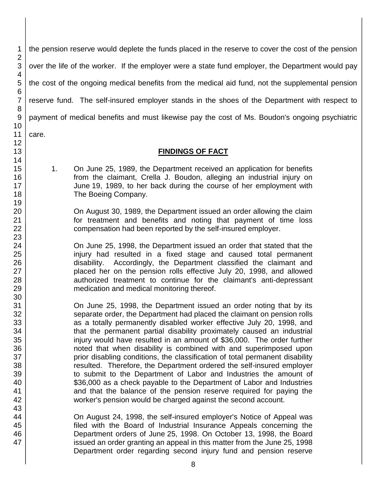the pension reserve would deplete the funds placed in the reserve to cover the cost of the pension over the life of the worker. If the employer were a state fund employer, the Department would pay the cost of the ongoing medical benefits from the medical aid fund, not the supplemental pension reserve fund. The self-insured employer stands in the shoes of the Department with respect to payment of medical benefits and must likewise pay the cost of Ms. Boudon's ongoing psychiatric care.

## **FINDINGS OF FACT**

1. On June 25, 1989, the Department received an application for benefits from the claimant, Crella J. Boudon, alleging an industrial injury on June 19, 1989, to her back during the course of her employment with The Boeing Company.

## On August 30, 1989, the Department issued an order allowing the claim for treatment and benefits and noting that payment of time loss compensation had been reported by the self-insured employer.

On June 25, 1998, the Department issued an order that stated that the injury had resulted in a fixed stage and caused total permanent disability. Accordingly, the Department classified the claimant and placed her on the pension rolls effective July 20, 1998, and allowed authorized treatment to continue for the claimant's anti-depressant medication and medical monitoring thereof.

On June 25, 1998, the Department issued an order noting that by its separate order, the Department had placed the claimant on pension rolls as a totally permanently disabled worker effective July 20, 1998, and that the permanent partial disability proximately caused an industrial injury would have resulted in an amount of \$36,000. The order further noted that when disability is combined with and superimposed upon prior disabling conditions, the classification of total permanent disability resulted. Therefore, the Department ordered the self-insured employer to submit to the Department of Labor and Industries the amount of \$36,000 as a check payable to the Department of Labor and Industries and that the balance of the pension reserve required for paying the worker's pension would be charged against the second account.

On August 24, 1998, the self-insured employer's Notice of Appeal was filed with the Board of Industrial Insurance Appeals concerning the Department orders of June 25, 1998. On October 13, 1998, the Board issued an order granting an appeal in this matter from the June 25, 1998 Department order regarding second injury fund and pension reserve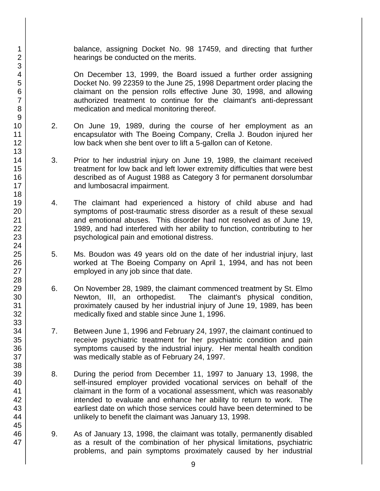balance, assigning Docket No. 98 17459, and directing that further hearings be conducted on the merits.

On December 13, 1999, the Board issued a further order assigning Docket No. 99 22359 to the June 25, 1998 Department order placing the claimant on the pension rolls effective June 30, 1998, and allowing authorized treatment to continue for the claimant's anti-depressant medication and medical monitoring thereof.

- 2. On June 19, 1989, during the course of her employment as an encapsulator with The Boeing Company, Crella J. Boudon injured her low back when she bent over to lift a 5-gallon can of Ketone.
- 3. Prior to her industrial injury on June 19, 1989, the claimant received treatment for low back and left lower extremity difficulties that were best described as of August 1988 as Category 3 for permanent dorsolumbar and lumbosacral impairment.
- 4. The claimant had experienced a history of child abuse and had symptoms of post-traumatic stress disorder as a result of these sexual and emotional abuses. This disorder had not resolved as of June 19, 1989, and had interfered with her ability to function, contributing to her psychological pain and emotional distress.
- 5. Ms. Boudon was 49 years old on the date of her industrial injury, last worked at The Boeing Company on April 1, 1994, and has not been employed in any job since that date.
- 6. On November 28, 1989, the claimant commenced treatment by St. Elmo Newton, III, an orthopedist. The claimant's physical condition, proximately caused by her industrial injury of June 19, 1989, has been medically fixed and stable since June 1, 1996.
- 7. Between June 1, 1996 and February 24, 1997, the claimant continued to receive psychiatric treatment for her psychiatric condition and pain symptoms caused by the industrial injury. Her mental health condition was medically stable as of February 24, 1997.
- 8. During the period from December 11, 1997 to January 13, 1998, the self-insured employer provided vocational services on behalf of the claimant in the form of a vocational assessment, which was reasonably intended to evaluate and enhance her ability to return to work. The earliest date on which those services could have been determined to be unlikely to benefit the claimant was January 13, 1998.
- 9. As of January 13, 1998, the claimant was totally, permanently disabled as a result of the combination of her physical limitations, psychiatric problems, and pain symptoms proximately caused by her industrial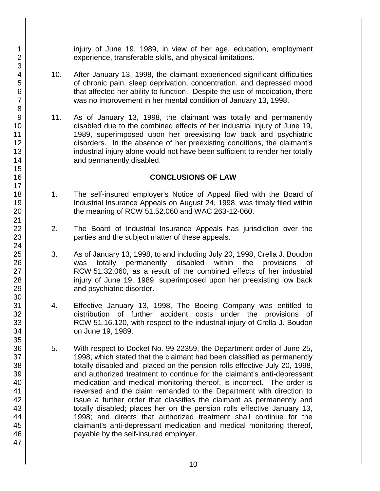injury of June 19, 1989, in view of her age, education, employment experience, transferable skills, and physical limitations.

- 10. After January 13, 1998, the claimant experienced significant difficulties of chronic pain, sleep deprivation, concentration, and depressed mood that affected her ability to function. Despite the use of medication, there was no improvement in her mental condition of January 13, 1998.
- 11. As of January 13, 1998, the claimant was totally and permanently disabled due to the combined effects of her industrial injury of June 19, 1989, superimposed upon her preexisting low back and psychiatric disorders. In the absence of her preexisting conditions, the claimant's industrial injury alone would not have been sufficient to render her totally and permanently disabled.

## **CONCLUSIONS OF LAW**

- 1. The self-insured employer's Notice of Appeal filed with the Board of Industrial Insurance Appeals on August 24, 1998, was timely filed within the meaning of RCW 51.52.060 and WAC 263-12-060.
- 2. The Board of Industrial Insurance Appeals has jurisdiction over the parties and the subject matter of these appeals.
- 3. As of January 13, 1998, to and including July 20, 1998, Crella J. Boudon was totally permanently disabled within the provisions of RCW 51.32.060, as a result of the combined effects of her industrial injury of June 19, 1989, superimposed upon her preexisting low back and psychiatric disorder.
- 4. Effective January 13, 1998, The Boeing Company was entitled to distribution of further accident costs under the provisions of RCW 51.16.120, with respect to the industrial injury of Crella J. Boudon on June 19, 1989.
- 5. With respect to Docket No. 99 22359, the Department order of June 25, 1998, which stated that the claimant had been classified as permanently totally disabled and placed on the pension rolls effective July 20, 1998, and authorized treatment to continue for the claimant's anti-depressant medication and medical monitoring thereof, is incorrect. The order is reversed and the claim remanded to the Department with direction to issue a further order that classifies the claimant as permanently and totally disabled; places her on the pension rolls effective January 13, 1998; and directs that authorized treatment shall continue for the claimant's anti-depressant medication and medical monitoring thereof, payable by the self-insured employer.